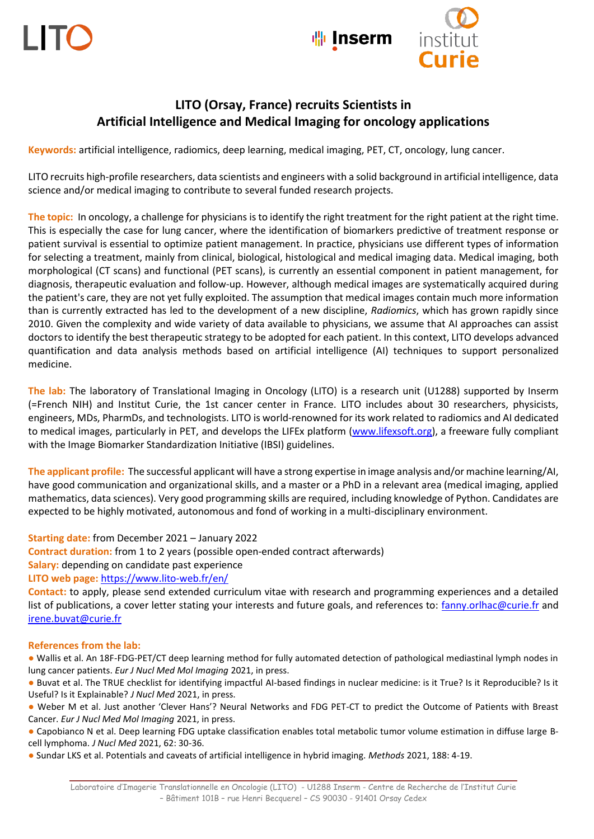**Inserm** 



## **LITO (Orsay, France) recruits Scientists in Artificial Intelligence and Medical Imaging for oncology applications**

**Keywords:** artificial intelligence, radiomics, deep learning, medical imaging, PET, CT, oncology, lung cancer.

LITO recruits high-profile researchers, data scientists and engineers with a solid background in artificial intelligence, data science and/or medical imaging to contribute to several funded research projects.

**The topic:** In oncology, a challenge for physicians is to identify the right treatment for the right patient at the right time. This is especially the case for lung cancer, where the identification of biomarkers predictive of treatment response or patient survival is essential to optimize patient management. In practice, physicians use different types of information for selecting a treatment, mainly from clinical, biological, histological and medical imaging data. Medical imaging, both morphological (CT scans) and functional (PET scans), is currently an essential component in patient management, for diagnosis, therapeutic evaluation and follow-up. However, although medical images are systematically acquired during the patient's care, they are not yet fully exploited. The assumption that medical images contain much more information than is currently extracted has led to the development of a new discipline, *Radiomics*, which has grown rapidly since 2010. Given the complexity and wide variety of data available to physicians, we assume that AI approaches can assist doctors to identify the best therapeutic strategy to be adopted for each patient. In this context, LITO develops advanced quantification and data analysis methods based on artificial intelligence (AI) techniques to support personalized medicine.

**The lab:** The laboratory of Translational Imaging in Oncology (LITO) is a research unit (U1288) supported by Inserm (=French NIH) and Institut Curie, the 1st cancer center in France. LITO includes about 30 researchers, physicists, engineers, MDs, PharmDs, and technologists. LITO is world-renowned for its work related to radiomics and AI dedicated to medical images, particularly in PET, and develops the LIFEx platform [\(www.lifexsoft.org\)](http://www.lifexsoft.org/), a freeware fully compliant with the Image Biomarker Standardization Initiative (IBSI) guidelines.

**The applicant profile:** The successful applicant will have a strong expertise in image analysis and/or machine learning/AI, have good communication and organizational skills, and a master or a PhD in a relevant area (medical imaging, applied mathematics, data sciences). Very good programming skills are required, including knowledge of Python. Candidates are expected to be highly motivated, autonomous and fond of working in a multi-disciplinary environment.

**Starting date:** from December 2021 – January 2022

**Contract duration:** from 1 to 2 years (possible open-ended contract afterwards)

**Salary:** depending on candidate past experience

**LITO web page:** <https://www.lito-web.fr/en/>

**Contact:** to apply, please send extended curriculum vitae with research and programming experiences and a detailed list of publications, a cover letter stating your interests and future goals, and references to: [fanny.orlhac@curie.fr](mailto:fanny.orlhac@curie.fr) and [irene.buvat@curie.fr](mailto:irene.buvat@curie.fr) 

## **References from the lab:**

● Wallis et al. An 18F-FDG-PET/CT deep learning method for fully automated detection of pathological mediastinal lymph nodes in lung cancer patients. *Eur J Nucl Med Mol Imaging* 2021, in press.

● Buvat et al. The TRUE checklist for identifying impactful AI-based findings in nuclear medicine: is it True? Is it Reproducible? Is it Useful? Is it Explainable? *J Nucl Med* 2021, in press.

● Weber M et al. Just another 'Clever Hans'? Neural Networks and FDG PET-CT to predict the Outcome of Patients with Breast Cancer. *[Eur J Nucl Med Mol Imaging](https://link.springer.com/article/10.1007/s00259-021-05270-x)* 2021, in press.

● Capobianco N et al. Deep learning FDG uptake classification enables total metabolic tumor volume estimation in diffuse large Bcell lymphoma. *[J Nucl Med](http://jnm.snmjournals.org/content/early/2020/06/12/jnumed.120.242412.long)* 2021, 62: 30-36.

● Sundar LKS et al. Potentials and caveats of artificial intelligence in hybrid imaging. *Methods* 2021, 188: 4-19.